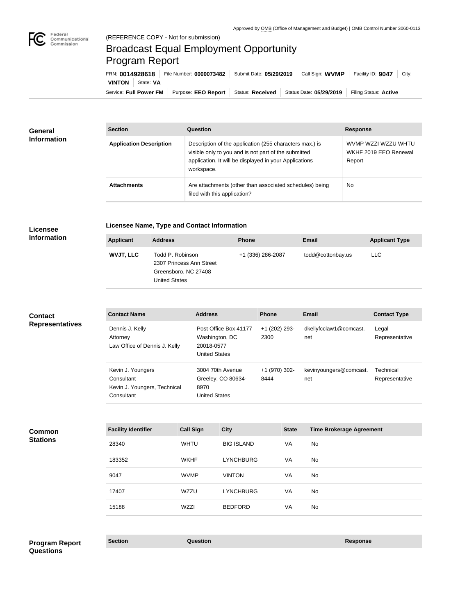

п

# Broadcast Equal Employment Opportunity Program Report

Service: Full Power FM | Purpose: EEO Report | Status: Received | Status Date: 05/29/2019 | Filing Status: Active **VINTON** | State: VA FRN: **0014928618** File Number: **0000073482** Submit Date: **05/29/2019** Call Sign: **WVMP** Facility ID: **9047** City:

| <b>General</b>     | <b>Section</b>                 | <b>Question</b>                                                                                                                                                                         | <b>Response</b>                                        |
|--------------------|--------------------------------|-----------------------------------------------------------------------------------------------------------------------------------------------------------------------------------------|--------------------------------------------------------|
| <b>Information</b> | <b>Application Description</b> | Description of the application (255 characters max.) is<br>visible only to you and is not part of the submitted<br>application. It will be displayed in your Applications<br>workspace. | WVMP WZZI WZZU WHTU<br>WKHF 2019 EEO Renewal<br>Report |
|                    | <b>Attachments</b>             | Are attachments (other than associated schedules) being<br>filed with this application?                                                                                                 | No                                                     |

#### **Licensee Information**

# **Licensee Name, Type and Contact Information**

| <b>Applicant</b> | <b>Address</b>                                                                               | <b>Phone</b>      | <b>Email</b>      | <b>Applicant Type</b> |
|------------------|----------------------------------------------------------------------------------------------|-------------------|-------------------|-----------------------|
| <b>WVJT, LLC</b> | Todd P. Robinson<br>2307 Princess Ann Street<br>Greensboro, NC 27408<br><b>United States</b> | +1 (336) 286-2087 | todd@cottonbay.us | <b>LLC</b>            |
|                  |                                                                                              |                   |                   |                       |

## **Contact Representatives**

| <b>Contact Name</b>                                                           | <b>Address</b>                                                                | <b>Phone</b>          | Email                         | <b>Contact Type</b>         |
|-------------------------------------------------------------------------------|-------------------------------------------------------------------------------|-----------------------|-------------------------------|-----------------------------|
| Dennis J. Kelly<br>Attorney<br>Law Office of Dennis J. Kelly                  | Post Office Box 41177<br>Washington, DC<br>20018-0577<br><b>United States</b> | +1 (202) 293-<br>2300 | dkellyfcclaw1@comcast.<br>net | Legal<br>Representative     |
| Kevin J. Youngers<br>Consultant<br>Kevin J. Youngers, Technical<br>Consultant | 3004 70th Avenue<br>Greeley, CO 80634-<br>8970<br><b>United States</b>        | +1 (970) 302-<br>8444 | kevinyoungers@comcast.<br>net | Technical<br>Representative |

#### **Common Stations**

| <b>Facility Identifier</b> | <b>Call Sign</b> | <b>City</b>       | <b>State</b> | <b>Time Brokerage Agreement</b> |
|----------------------------|------------------|-------------------|--------------|---------------------------------|
| 28340                      | <b>WHTU</b>      | <b>BIG ISLAND</b> | VA           | No                              |
| 183352                     | <b>WKHF</b>      | <b>LYNCHBURG</b>  | VA           | No                              |
| 9047                       | <b>WVMP</b>      | <b>VINTON</b>     | VA           | <b>No</b>                       |
| 17407                      | WZZU             | <b>LYNCHBURG</b>  | VA           | <b>No</b>                       |
| 15188                      | <b>WZZI</b>      | <b>BEDFORD</b>    | VA           | <b>No</b>                       |

# **Section Question Response Program Report Questions**